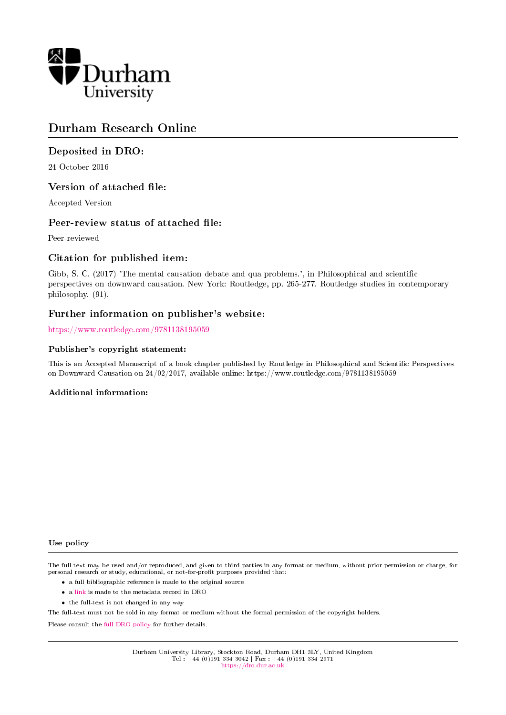

# Durham Research Online

# Deposited in DRO:

24 October 2016

# Version of attached file:

Accepted Version

## Peer-review status of attached file:

Peer-reviewed

# Citation for published item:

Gibb, S. C. (2017) 'The mental causation debate and qua problems.', in Philosophical and scientic perspectives on downward causation. New York: Routledge, pp. 265-277. Routledge studies in contemporary philosophy. (91).

## Further information on publisher's website:

<https://www.routledge.com/9781138195059>

### Publisher's copyright statement:

This is an Accepted Manuscript of a book chapter published by Routledge in Philosophical and Scientic Perspectives on Downward Causation on 24/02/2017, available online: https://www.routledge.com/9781138195059

### Additional information:

#### Use policy

The full-text may be used and/or reproduced, and given to third parties in any format or medium, without prior permission or charge, for personal research or study, educational, or not-for-profit purposes provided that:

- a full bibliographic reference is made to the original source
- a [link](http://dro.dur.ac.uk/20095/) is made to the metadata record in DRO
- the full-text is not changed in any way

The full-text must not be sold in any format or medium without the formal permission of the copyright holders.

Please consult the [full DRO policy](https://dro.dur.ac.uk/policies/usepolicy.pdf) for further details.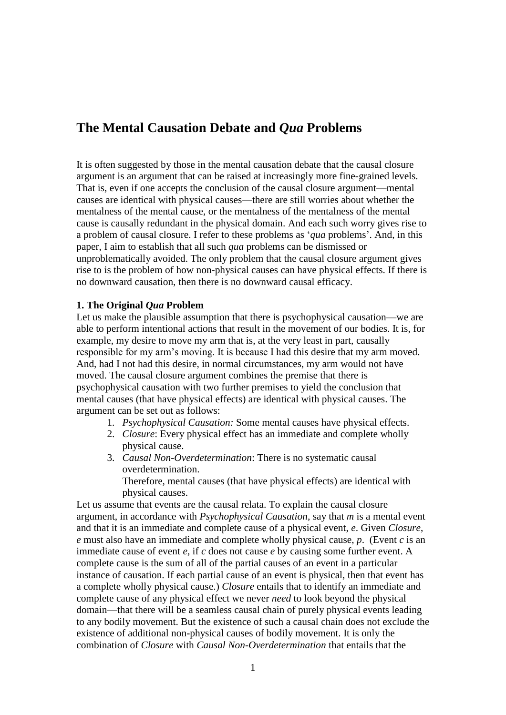# **The Mental Causation Debate and** *Qua* **Problems**

It is often suggested by those in the mental causation debate that the causal closure argument is an argument that can be raised at increasingly more fine-grained levels. That is, even if one accepts the conclusion of the causal closure argument—mental causes are identical with physical causes—there are still worries about whether the mentalness of the mental cause, or the mentalness of the mentalness of the mental cause is causally redundant in the physical domain. And each such worry gives rise to a problem of causal closure. I refer to these problems as '*qua* problems'. And, in this paper, I aim to establish that all such *qua* problems can be dismissed or unproblematically avoided. The only problem that the causal closure argument gives rise to is the problem of how non-physical causes can have physical effects. If there is no downward causation, then there is no downward causal efficacy.

# **1. The Original** *Qua* **Problem**

Let us make the plausible assumption that there is psychophysical causation—we are able to perform intentional actions that result in the movement of our bodies. It is, for example, my desire to move my arm that is, at the very least in part, causally responsible for my arm's moving. It is because I had this desire that my arm moved. And, had I not had this desire, in normal circumstances, my arm would not have moved. The causal closure argument combines the premise that there is psychophysical causation with two further premises to yield the conclusion that mental causes (that have physical effects) are identical with physical causes. The argument can be set out as follows:

- 1. *Psychophysical Causation:* Some mental causes have physical effects.
- 2. *Closure*: Every physical effect has an immediate and complete wholly physical cause.
- 3. *Causal Non-Overdetermination*: There is no systematic causal overdetermination.

Therefore, mental causes (that have physical effects) are identical with physical causes.

Let us assume that events are the causal relata. To explain the causal closure argument, in accordance with *Psychophysical Causation*, say that *m* is a mental event and that it is an immediate and complete cause of a physical event, *e*. Given *Closure*, *e* must also have an immediate and complete wholly physical cause, *p*. (Event *c* is an immediate cause of event *e*, if *c* does not cause *e* by causing some further event. A complete cause is the sum of all of the partial causes of an event in a particular instance of causation. If each partial cause of an event is physical, then that event has a complete wholly physical cause.) *Closure* entails that to identify an immediate and complete cause of any physical effect we never *need* to look beyond the physical domain—that there will be a seamless causal chain of purely physical events leading to any bodily movement. But the existence of such a causal chain does not exclude the existence of additional non-physical causes of bodily movement. It is only the combination of *Closure* with *Causal Non-Overdetermination* that entails that the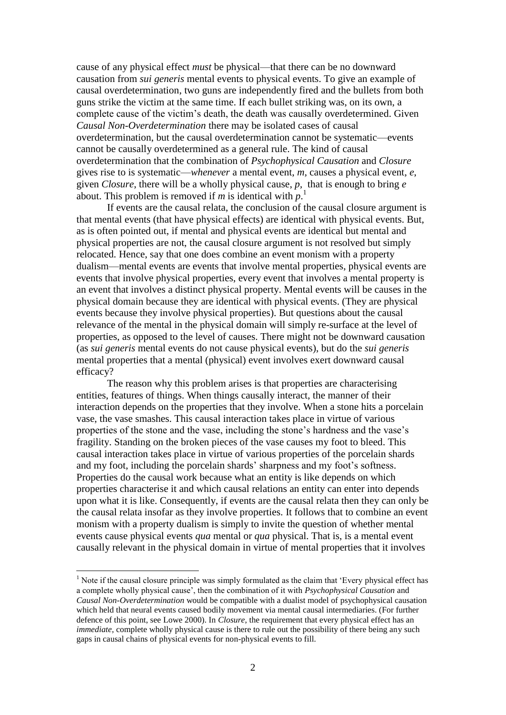cause of any physical effect *must* be physical—that there can be no downward causation from *sui generis* mental events to physical events. To give an example of causal overdetermination, two guns are independently fired and the bullets from both guns strike the victim at the same time. If each bullet striking was, on its own, a complete cause of the victim's death, the death was causally overdetermined. Given *Causal Non-Overdetermination* there may be isolated cases of causal overdetermination, but the causal overdetermination cannot be systematic—events cannot be causally overdetermined as a general rule. The kind of causal overdetermination that the combination of *Psychophysical Causation* and *Closure* gives rise to is systematic—*whenever* a mental event, *m*, causes a physical event, *e*, given *Closure*, there will be a wholly physical cause, *p,* that is enough to bring *e* about. This problem is removed if  $m$  is identical with  $p<sup>1</sup>$ .

If events are the causal relata, the conclusion of the causal closure argument is that mental events (that have physical effects) are identical with physical events. But, as is often pointed out, if mental and physical events are identical but mental and physical properties are not, the causal closure argument is not resolved but simply relocated. Hence, say that one does combine an event monism with a property dualism—mental events are events that involve mental properties, physical events are events that involve physical properties, every event that involves a mental property is an event that involves a distinct physical property. Mental events will be causes in the physical domain because they are identical with physical events. (They are physical events because they involve physical properties). But questions about the causal relevance of the mental in the physical domain will simply re-surface at the level of properties, as opposed to the level of causes. There might not be downward causation (as *sui generis* mental events do not cause physical events), but do the *sui generis* mental properties that a mental (physical) event involves exert downward causal efficacy?

The reason why this problem arises is that properties are characterising entities, features of things. When things causally interact, the manner of their interaction depends on the properties that they involve. When a stone hits a porcelain vase, the vase smashes. This causal interaction takes place in virtue of various properties of the stone and the vase, including the stone's hardness and the vase's fragility. Standing on the broken pieces of the vase causes my foot to bleed. This causal interaction takes place in virtue of various properties of the porcelain shards and my foot, including the porcelain shards' sharpness and my foot's softness. Properties do the causal work because what an entity is like depends on which properties characterise it and which causal relations an entity can enter into depends upon what it is like. Consequently, if events are the causal relata then they can only be the causal relata insofar as they involve properties. It follows that to combine an event monism with a property dualism is simply to invite the question of whether mental events cause physical events *qua* mental or *qua* physical. That is, is a mental event causally relevant in the physical domain in virtue of mental properties that it involves

1

<sup>&</sup>lt;sup>1</sup> Note if the causal closure principle was simply formulated as the claim that 'Every physical effect has a complete wholly physical cause', then the combination of it with *Psychophysical Causation* and *Causal Non-Overdetermination* would be compatible with a dualist model of psychophysical causation which held that neural events caused bodily movement via mental causal intermediaries. (For further defence of this point, see Lowe 2000). In *Closure*, the requirement that every physical effect has an *immediate*, complete wholly physical cause is there to rule out the possibility of there being any such gaps in causal chains of physical events for non-physical events to fill.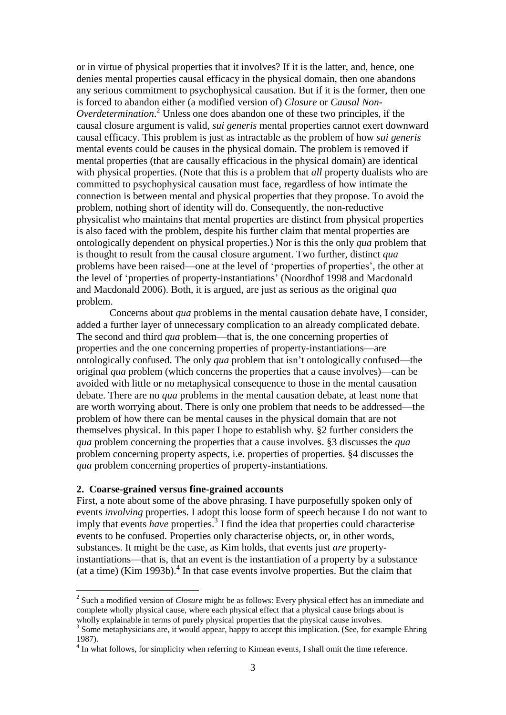or in virtue of physical properties that it involves? If it is the latter, and, hence, one denies mental properties causal efficacy in the physical domain, then one abandons any serious commitment to psychophysical causation. But if it is the former, then one is forced to abandon either (a modified version of) *Closure* or *Causal Non-Overdetermination*. <sup>2</sup> Unless one does abandon one of these two principles, if the causal closure argument is valid, *sui generis* mental properties cannot exert downward causal efficacy. This problem is just as intractable as the problem of how *sui generis* mental events could be causes in the physical domain. The problem is removed if mental properties (that are causally efficacious in the physical domain) are identical with physical properties. (Note that this is a problem that *all* property dualists who are committed to psychophysical causation must face, regardless of how intimate the connection is between mental and physical properties that they propose. To avoid the problem, nothing short of identity will do. Consequently, the non-reductive physicalist who maintains that mental properties are distinct from physical properties is also faced with the problem, despite his further claim that mental properties are ontologically dependent on physical properties.) Nor is this the only *qua* problem that is thought to result from the causal closure argument. Two further, distinct *qua* problems have been raised—one at the level of 'properties of properties', the other at the level of 'properties of property-instantiations' (Noordhof 1998 and Macdonald and Macdonald 2006). Both, it is argued, are just as serious as the original *qua* problem.

Concerns about *qua* problems in the mental causation debate have, I consider, added a further layer of unnecessary complication to an already complicated debate. The second and third *qua* problem—that is, the one concerning properties of properties and the one concerning properties of property-instantiations—are ontologically confused. The only *qua* problem that isn't ontologically confused—the original *qua* problem (which concerns the properties that a cause involves)—can be avoided with little or no metaphysical consequence to those in the mental causation debate. There are no *qua* problems in the mental causation debate, at least none that are worth worrying about. There is only one problem that needs to be addressed—the problem of how there can be mental causes in the physical domain that are not themselves physical. In this paper I hope to establish why. §2 further considers the *qua* problem concerning the properties that a cause involves. §3 discusses the *qua* problem concerning property aspects, i.e. properties of properties. §4 discusses the *qua* problem concerning properties of property-instantiations.

## **2. Coarse-grained versus fine-grained accounts**

1

First, a note about some of the above phrasing. I have purposefully spoken only of events *involving* properties. I adopt this loose form of speech because I do not want to imply that events *have* properties.<sup>3</sup> I find the idea that properties could characterise events to be confused. Properties only characterise objects, or, in other words, substances. It might be the case, as Kim holds, that events just *are* propertyinstantiations—that is, that an event is the instantiation of a property by a substance (at a time) (Kim 1993b). 4 In that case events involve properties. But the claim that

<sup>2</sup> Such a modified version of *Closure* might be as follows: Every physical effect has an immediate and complete wholly physical cause, where each physical effect that a physical cause brings about is wholly explainable in terms of purely physical properties that the physical cause involves.

<sup>&</sup>lt;sup>3</sup> Some metaphysicians are, it would appear, happy to accept this implication. (See, for example Ehring 1987).

<sup>&</sup>lt;sup>4</sup> In what follows, for simplicity when referring to Kimean events, I shall omit the time reference.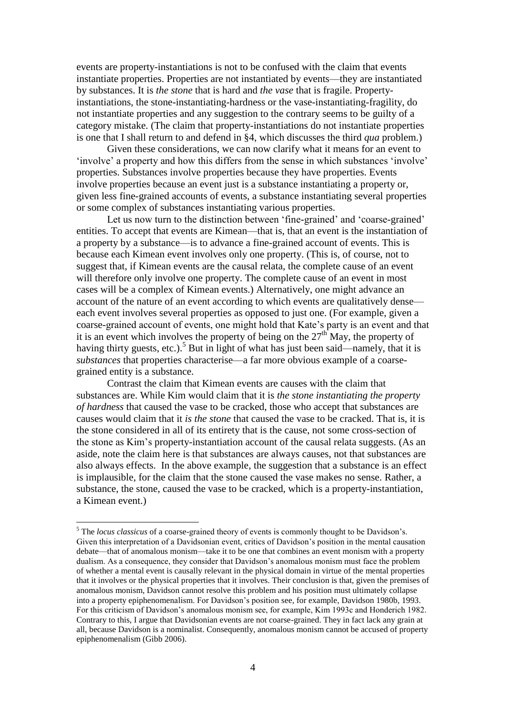events are property-instantiations is not to be confused with the claim that events instantiate properties. Properties are not instantiated by events—they are instantiated by substances. It is *the stone* that is hard and *the vase* that is fragile. Propertyinstantiations, the stone-instantiating-hardness or the vase-instantiating-fragility, do not instantiate properties and any suggestion to the contrary seems to be guilty of a category mistake. (The claim that property-instantiations do not instantiate properties is one that I shall return to and defend in §4, which discusses the third *qua* problem.)

Given these considerations, we can now clarify what it means for an event to 'involve' a property and how this differs from the sense in which substances 'involve' properties. Substances involve properties because they have properties. Events involve properties because an event just is a substance instantiating a property or, given less fine-grained accounts of events, a substance instantiating several properties or some complex of substances instantiating various properties.

Let us now turn to the distinction between 'fine-grained' and 'coarse-grained' entities. To accept that events are Kimean—that is, that an event is the instantiation of a property by a substance—is to advance a fine-grained account of events. This is because each Kimean event involves only one property. (This is, of course, not to suggest that, if Kimean events are the causal relata, the complete cause of an event will therefore only involve one property. The complete cause of an event in most cases will be a complex of Kimean events.) Alternatively, one might advance an account of the nature of an event according to which events are qualitatively dense each event involves several properties as opposed to just one. (For example, given a coarse-grained account of events, one might hold that Kate's party is an event and that it is an event which involves the property of being on the  $27<sup>th</sup>$  May, the property of having thirty guests, etc.).<sup>5</sup> But in light of what has just been said—namely, that it is *substances* that properties characterise—a far more obvious example of a coarsegrained entity is a substance.

Contrast the claim that Kimean events are causes with the claim that substances are. While Kim would claim that it is *the stone instantiating the property of hardness* that caused the vase to be cracked, those who accept that substances are causes would claim that it *is the stone* that caused the vase to be cracked. That is, it is the stone considered in all of its entirety that is the cause, not some cross-section of the stone as Kim's property-instantiation account of the causal relata suggests. (As an aside, note the claim here is that substances are always causes, not that substances are also always effects. In the above example, the suggestion that a substance is an effect is implausible, for the claim that the stone caused the vase makes no sense. Rather, a substance, the stone, caused the vase to be cracked, which is a property-instantiation, a Kimean event.)

1

<sup>5</sup> The *locus classicus* of a coarse-grained theory of events is commonly thought to be Davidson's. Given this interpretation of a Davidsonian event, critics of Davidson's position in the mental causation debate—that of anomalous monism—take it to be one that combines an event monism with a property dualism. As a consequence, they consider that Davidson's anomalous monism must face the problem of whether a mental event is causally relevant in the physical domain in virtue of the mental properties that it involves or the physical properties that it involves. Their conclusion is that, given the premises of anomalous monism, Davidson cannot resolve this problem and his position must ultimately collapse into a property epiphenomenalism. For Davidson's position see, for example, Davidson 1980b, 1993. For this criticism of Davidson's anomalous monism see, for example, Kim 1993c and Honderich 1982. Contrary to this, I argue that Davidsonian events are not coarse-grained. They in fact lack any grain at all, because Davidson is a nominalist. Consequently, anomalous monism cannot be accused of property epiphenomenalism (Gibb 2006).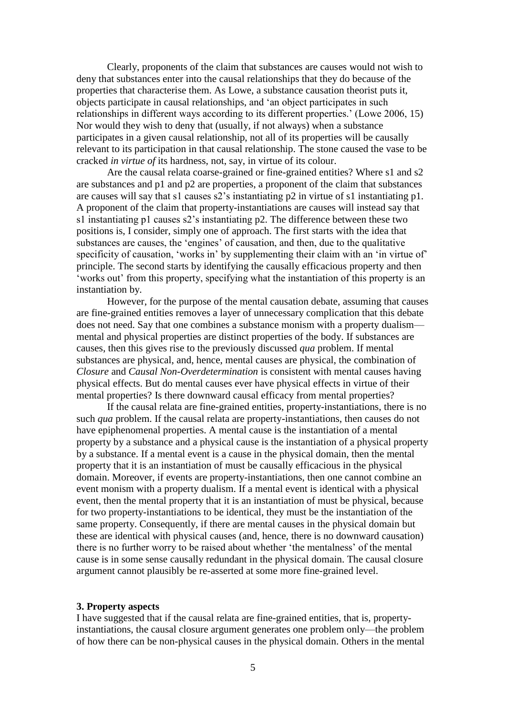Clearly, proponents of the claim that substances are causes would not wish to deny that substances enter into the causal relationships that they do because of the properties that characterise them. As Lowe, a substance causation theorist puts it, objects participate in causal relationships, and 'an object participates in such relationships in different ways according to its different properties.' (Lowe 2006, 15) Nor would they wish to deny that (usually, if not always) when a substance participates in a given causal relationship, not all of its properties will be causally relevant to its participation in that causal relationship. The stone caused the vase to be cracked *in virtue of* its hardness, not, say, in virtue of its colour.

Are the causal relata coarse-grained or fine-grained entities? Where s1 and s2 are substances and p1 and p2 are properties, a proponent of the claim that substances are causes will say that s1 causes s2's instantiating p2 in virtue of s1 instantiating p1. A proponent of the claim that property-instantiations are causes will instead say that s1 instantiating p1 causes s2's instantiating p2. The difference between these two positions is, I consider, simply one of approach. The first starts with the idea that substances are causes, the 'engines' of causation, and then, due to the qualitative specificity of causation, 'works in' by supplementing their claim with an 'in virtue of' principle. The second starts by identifying the causally efficacious property and then 'works out' from this property, specifying what the instantiation of this property is an instantiation by.

However, for the purpose of the mental causation debate, assuming that causes are fine-grained entities removes a layer of unnecessary complication that this debate does not need. Say that one combines a substance monism with a property dualism mental and physical properties are distinct properties of the body. If substances are causes, then this gives rise to the previously discussed *qua* problem. If mental substances are physical, and, hence, mental causes are physical, the combination of *Closure* and *Causal Non-Overdetermination* is consistent with mental causes having physical effects. But do mental causes ever have physical effects in virtue of their mental properties? Is there downward causal efficacy from mental properties?

If the causal relata are fine-grained entities, property-instantiations, there is no such *qua* problem. If the causal relata are property-instantiations, then causes do not have epiphenomenal properties. A mental cause is the instantiation of a mental property by a substance and a physical cause is the instantiation of a physical property by a substance. If a mental event is a cause in the physical domain, then the mental property that it is an instantiation of must be causally efficacious in the physical domain. Moreover, if events are property-instantiations, then one cannot combine an event monism with a property dualism. If a mental event is identical with a physical event, then the mental property that it is an instantiation of must be physical, because for two property-instantiations to be identical, they must be the instantiation of the same property. Consequently, if there are mental causes in the physical domain but these are identical with physical causes (and, hence, there is no downward causation) there is no further worry to be raised about whether 'the mentalness' of the mental cause is in some sense causally redundant in the physical domain. The causal closure argument cannot plausibly be re-asserted at some more fine-grained level.

## **3. Property aspects**

I have suggested that if the causal relata are fine-grained entities, that is, propertyinstantiations, the causal closure argument generates one problem only—the problem of how there can be non-physical causes in the physical domain. Others in the mental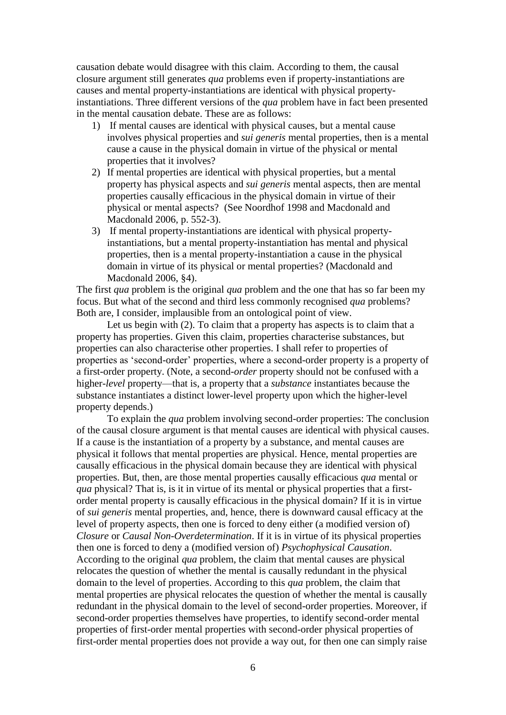causation debate would disagree with this claim. According to them, the causal closure argument still generates *qua* problems even if property-instantiations are causes and mental property-instantiations are identical with physical propertyinstantiations. Three different versions of the *qua* problem have in fact been presented in the mental causation debate. These are as follows:

- 1) If mental causes are identical with physical causes, but a mental cause involves physical properties and *sui generis* mental properties, then is a mental cause a cause in the physical domain in virtue of the physical or mental properties that it involves?
- 2) If mental properties are identical with physical properties, but a mental property has physical aspects and *sui generis* mental aspects, then are mental properties causally efficacious in the physical domain in virtue of their physical or mental aspects? (See Noordhof 1998 and Macdonald and Macdonald 2006, p. 552-3).
- 3) If mental property-instantiations are identical with physical propertyinstantiations, but a mental property-instantiation has mental and physical properties, then is a mental property-instantiation a cause in the physical domain in virtue of its physical or mental properties? (Macdonald and Macdonald 2006, §4).

The first *qua* problem is the original *qua* problem and the one that has so far been my focus. But what of the second and third less commonly recognised *qua* problems? Both are, I consider, implausible from an ontological point of view.

Let us begin with (2). To claim that a property has aspects is to claim that a property has properties. Given this claim, properties characterise substances, but properties can also characterise other properties. I shall refer to properties of properties as 'second-order' properties, where a second-order property is a property of a first-order property. (Note, a second-*order* property should not be confused with a higher-*level* property—that is, a property that a *substance* instantiates because the substance instantiates a distinct lower-level property upon which the higher-level property depends.)

To explain the *qua* problem involving second-order properties: The conclusion of the causal closure argument is that mental causes are identical with physical causes. If a cause is the instantiation of a property by a substance, and mental causes are physical it follows that mental properties are physical. Hence, mental properties are causally efficacious in the physical domain because they are identical with physical properties. But, then, are those mental properties causally efficacious *qua* mental or *qua* physical? That is, is it in virtue of its mental or physical properties that a firstorder mental property is causally efficacious in the physical domain? If it is in virtue of *sui generis* mental properties, and, hence, there is downward causal efficacy at the level of property aspects, then one is forced to deny either (a modified version of) *Closure* or *Causal Non-Overdetermination*. If it is in virtue of its physical properties then one is forced to deny a (modified version of) *Psychophysical Causation*. According to the original *qua* problem, the claim that mental causes are physical relocates the question of whether the mental is causally redundant in the physical domain to the level of properties. According to this *qua* problem, the claim that mental properties are physical relocates the question of whether the mental is causally redundant in the physical domain to the level of second-order properties. Moreover, if second-order properties themselves have properties, to identify second-order mental properties of first-order mental properties with second-order physical properties of first-order mental properties does not provide a way out, for then one can simply raise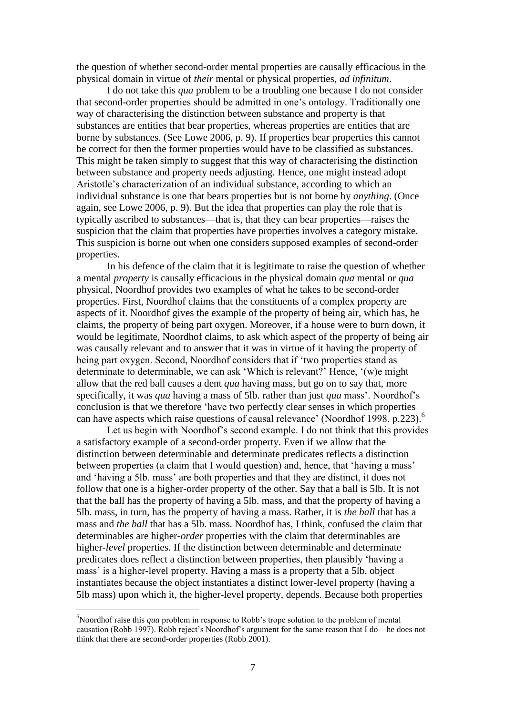the question of whether second-order mental properties are causally efficacious in the physical domain in virtue of *their* mental or physical properties, *ad infinitum*.

I do not take this *qua* problem to be a troubling one because I do not consider that second-order properties should be admitted in one's ontology. Traditionally one way of characterising the distinction between substance and property is that substances are entities that bear properties, whereas properties are entities that are borne by substances. (See Lowe 2006, p. 9). If properties bear properties this cannot be correct for then the former properties would have to be classified as substances. This might be taken simply to suggest that this way of characterising the distinction between substance and property needs adjusting. Hence, one might instead adopt Aristotle's characterization of an individual substance, according to which an individual substance is one that bears properties but is not borne by *anything*. (Once again, see Lowe 2006, p. 9). But the idea that properties can play the role that is typically ascribed to substances—that is, that they can bear properties—raises the suspicion that the claim that properties have properties involves a category mistake. This suspicion is borne out when one considers supposed examples of second-order properties.

In his defence of the claim that it is legitimate to raise the question of whether a mental *property* is causally efficacious in the physical domain *qua* mental or *qua* physical, Noordhof provides two examples of what he takes to be second-order properties. First, Noordhof claims that the constituents of a complex property are aspects of it. Noordhof gives the example of the property of being air, which has, he claims, the property of being part oxygen. Moreover, if a house were to burn down, it would be legitimate, Noordhof claims, to ask which aspect of the property of being air was causally relevant and to answer that it was in virtue of it having the property of being part oxygen. Second, Noordhof considers that if 'two properties stand as determinate to determinable, we can ask 'Which is relevant?' Hence, '(w)e might allow that the red ball causes a dent *qua* having mass, but go on to say that, more specifically, it was *qua* having a mass of 5lb. rather than just *qua* mass'. Noordhof's conclusion is that we therefore 'have two perfectly clear senses in which properties can have aspects which raise questions of causal relevance' (Noordhof 1998, p.223).<sup>6</sup>

Let us begin with Noordhof's second example. I do not think that this provides a satisfactory example of a second-order property. Even if we allow that the distinction between determinable and determinate predicates reflects a distinction between properties (a claim that I would question) and, hence, that 'having a mass' and 'having a 5lb. mass' are both properties and that they are distinct, it does not follow that one is a higher-order property of the other. Say that a ball is 5lb. It is not that the ball has the property of having a 5lb. mass, and that the property of having a 5lb. mass, in turn, has the property of having a mass. Rather, it is *the ball* that has a mass and *the ball* that has a 5lb. mass. Noordhof has, I think, confused the claim that determinables are higher-*order* properties with the claim that determinables are higher-*level* properties. If the distinction between determinable and determinate predicates does reflect a distinction between properties, then plausibly 'having a mass' is a higher-level property. Having a mass is a property that a 5lb. object instantiates because the object instantiates a distinct lower-level property (having a 5lb mass) upon which it, the higher-level property, depends. Because both properties

1

<sup>&</sup>lt;sup>6</sup>Noordhof raise this *qua* problem in response to Robb's trope solution to the problem of mental causation (Robb 1997). Robb reject's Noordhof's argument for the same reason that I do—he does not think that there are second-order properties (Robb 2001).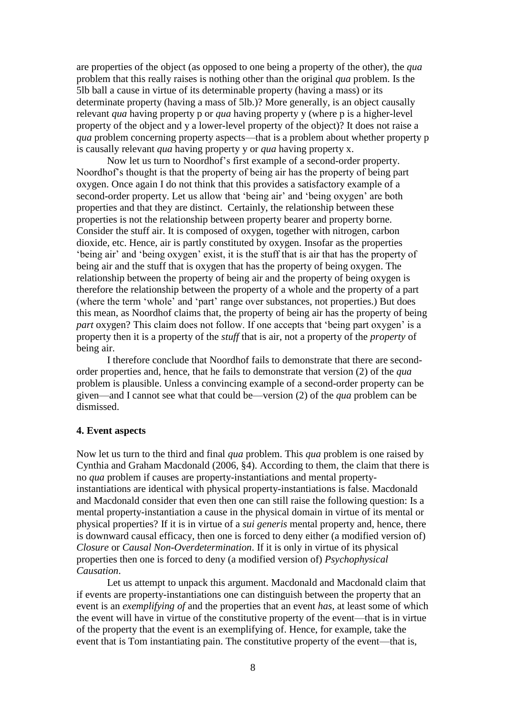are properties of the object (as opposed to one being a property of the other), the *qua* problem that this really raises is nothing other than the original *qua* problem. Is the 5lb ball a cause in virtue of its determinable property (having a mass) or its determinate property (having a mass of 5lb.)? More generally, is an object causally relevant *qua* having property p or *qua* having property y (where p is a higher-level property of the object and y a lower-level property of the object)? It does not raise a *qua* problem concerning property aspects—that is a problem about whether property p is causally relevant *qua* having property y or *qua* having property x.

Now let us turn to Noordhof's first example of a second-order property. Noordhof's thought is that the property of being air has the property of being part oxygen. Once again I do not think that this provides a satisfactory example of a second-order property. Let us allow that 'being air' and 'being oxygen' are both properties and that they are distinct. Certainly, the relationship between these properties is not the relationship between property bearer and property borne. Consider the stuff air. It is composed of oxygen, together with nitrogen, carbon dioxide, etc. Hence, air is partly constituted by oxygen. Insofar as the properties 'being air' and 'being oxygen' exist, it is the stuff that is air that has the property of being air and the stuff that is oxygen that has the property of being oxygen. The relationship between the property of being air and the property of being oxygen is therefore the relationship between the property of a whole and the property of a part (where the term 'whole' and 'part' range over substances, not properties.) But does this mean, as Noordhof claims that, the property of being air has the property of being *part* oxygen? This claim does not follow. If one accepts that 'being part oxygen' is a property then it is a property of the *stuff* that is air, not a property of the *property* of being air.

I therefore conclude that Noordhof fails to demonstrate that there are secondorder properties and, hence, that he fails to demonstrate that version (2) of the *qua* problem is plausible. Unless a convincing example of a second-order property can be given—and I cannot see what that could be—version (2) of the *qua* problem can be dismissed.

## **4. Event aspects**

Now let us turn to the third and final *qua* problem. This *qua* problem is one raised by Cynthia and Graham Macdonald (2006, §4). According to them, the claim that there is no *qua* problem if causes are property-instantiations and mental propertyinstantiations are identical with physical property-instantiations is false. Macdonald and Macdonald consider that even then one can still raise the following question: Is a mental property-instantiation a cause in the physical domain in virtue of its mental or physical properties? If it is in virtue of a *sui generis* mental property and, hence, there is downward causal efficacy, then one is forced to deny either (a modified version of) *Closure* or *Causal Non-Overdetermination*. If it is only in virtue of its physical properties then one is forced to deny (a modified version of) *Psychophysical Causation*.

Let us attempt to unpack this argument. Macdonald and Macdonald claim that if events are property-instantiations one can distinguish between the property that an event is an *exemplifying of* and the properties that an event *has*, at least some of which the event will have in virtue of the constitutive property of the event—that is in virtue of the property that the event is an exemplifying of. Hence, for example, take the event that is Tom instantiating pain. The constitutive property of the event—that is,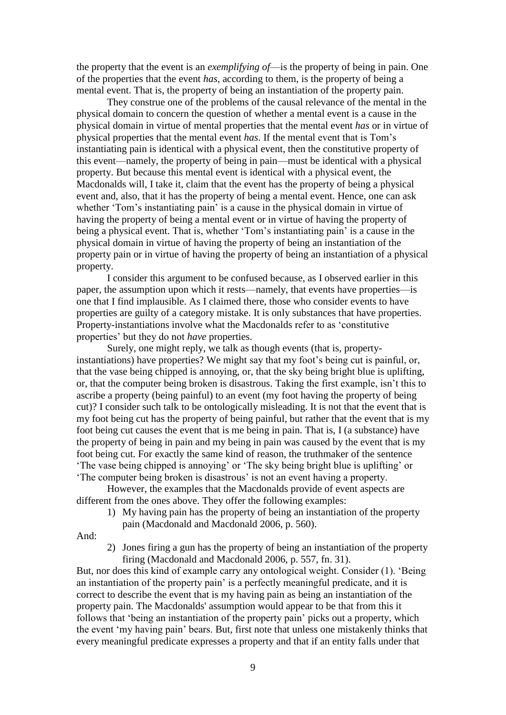the property that the event is an *exemplifying of*—is the property of being in pain. One of the properties that the event *has*, according to them, is the property of being a mental event. That is, the property of being an instantiation of the property pain.

They construe one of the problems of the causal relevance of the mental in the physical domain to concern the question of whether a mental event is a cause in the physical domain in virtue of mental properties that the mental event *has* or in virtue of physical properties that the mental event *has*. If the mental event that is Tom's instantiating pain is identical with a physical event, then the constitutive property of this event—namely, the property of being in pain—must be identical with a physical property. But because this mental event is identical with a physical event, the Macdonalds will, I take it, claim that the event has the property of being a physical event and, also, that it has the property of being a mental event. Hence, one can ask whether 'Tom's instantiating pain' is a cause in the physical domain in virtue of having the property of being a mental event or in virtue of having the property of being a physical event. That is, whether 'Tom's instantiating pain' is a cause in the physical domain in virtue of having the property of being an instantiation of the property pain or in virtue of having the property of being an instantiation of a physical property.

I consider this argument to be confused because, as I observed earlier in this paper, the assumption upon which it rests—namely, that events have properties—is one that I find implausible. As I claimed there, those who consider events to have properties are guilty of a category mistake. It is only substances that have properties. Property-instantiations involve what the Macdonalds refer to as 'constitutive properties' but they do not *have* properties.

Surely, one might reply, we talk as though events (that is, propertyinstantiations) have properties? We might say that my foot's being cut is painful, or, that the vase being chipped is annoying, or, that the sky being bright blue is uplifting, or, that the computer being broken is disastrous. Taking the first example, isn't this to ascribe a property (being painful) to an event (my foot having the property of being cut)? I consider such talk to be ontologically misleading. It is not that the event that is my foot being cut has the property of being painful, but rather that the event that is my foot being cut causes the event that is me being in pain. That is, I (a substance) have the property of being in pain and my being in pain was caused by the event that is my foot being cut. For exactly the same kind of reason, the truthmaker of the sentence 'The vase being chipped is annoying' or 'The sky being bright blue is uplifting' or 'The computer being broken is disastrous' is not an event having a property.

However, the examples that the Macdonalds provide of event aspects are different from the ones above. They offer the following examples:

1) My having pain has the property of being an instantiation of the property pain (Macdonald and Macdonald 2006, p. 560).

And:

2) Jones firing a gun has the property of being an instantiation of the property firing (Macdonald and Macdonald 2006, p. 557, fn. 31).

But, nor does this kind of example carry any ontological weight. Consider (1). 'Being an instantiation of the property pain' is a perfectly meaningful predicate, and it is correct to describe the event that is my having pain as being an instantiation of the property pain. The Macdonalds' assumption would appear to be that from this it follows that 'being an instantiation of the property pain' picks out a property, which the event 'my having pain' bears. But, first note that unless one mistakenly thinks that every meaningful predicate expresses a property and that if an entity falls under that